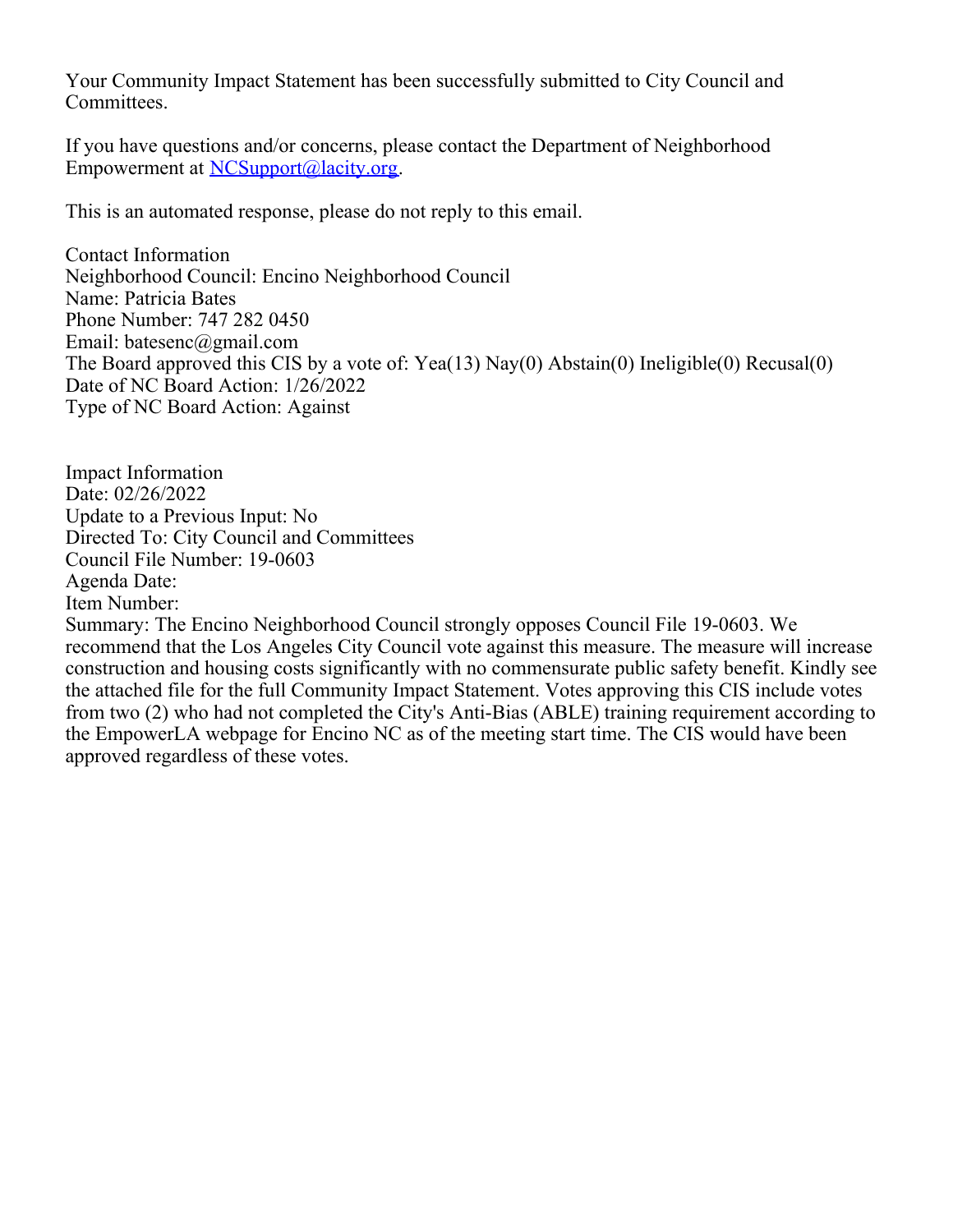Your Community Impact Statement has been successfully submitted to City Council and Committees.

If you have questions and/or concerns, please contact the Department of Neighborhood Empowerment at [NCSupport@lacity.org](mailto:NCSupport@lacity.org).

This is an automated response, please do not reply to this email.

Contact Information Neighborhood Council: Encino Neighborhood Council Name: Patricia Bates Phone Number: 747 282 0450 Email: batesenc@gmail.com The Board approved this CIS by a vote of: Yea(13) Nay(0) Abstain(0) Ineligible(0) Recusal(0) Date of NC Board Action: 1/26/2022 Type of NC Board Action: Against

Impact Information Date: 02/26/2022 Update to a Previous Input: No Directed To: City Council and Committees Council File Number: 19-0603 Agenda Date: Item Number:

Summary: The Encino Neighborhood Council strongly opposes Council File 19-0603. We recommend that the Los Angeles City Council vote against this measure. The measure will increase construction and housing costs significantly with no commensurate public safety benefit. Kindly see the attached file for the full Community Impact Statement. Votes approving this CIS include votes from two (2) who had not completed the City's Anti-Bias (ABLE) training requirement according to the EmpowerLA webpage for Encino NC as of the meeting start time. The CIS would have been approved regardless of these votes.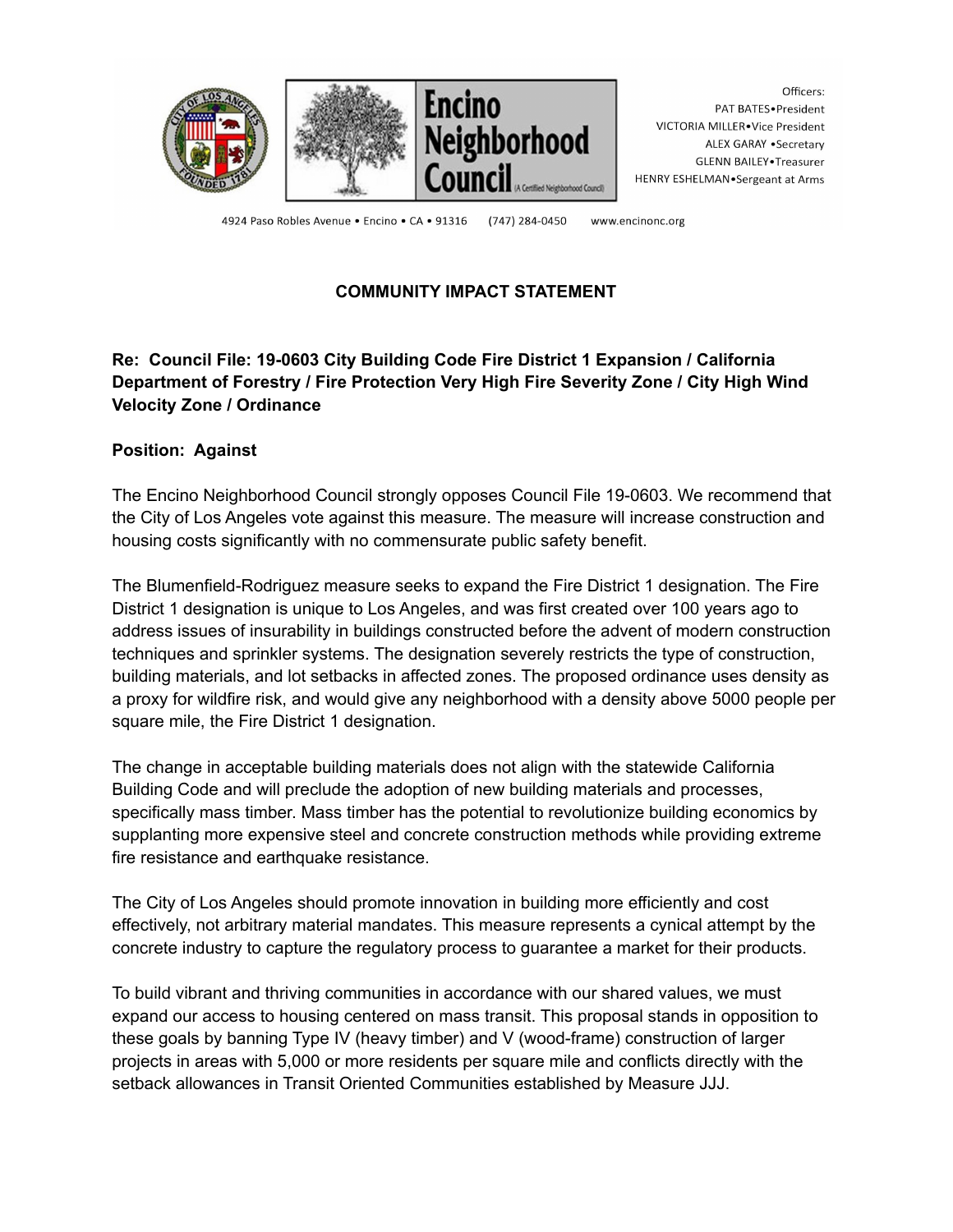

Officers: PAT BATES.President VICTORIA MILLER.Vice President ALEX GARAY . Secretary GLENN BAILEY. Treasurer HENRY ESHELMAN.Sergeant at Arms

4924 Paso Robles Avenue · Encino · CA · 91316 (747) 284-0450 www.encinonc.org

## **COMMUNITY IMPACT STATEMENT**

## **Re: Council File: 19-0603 City Building Code Fire District 1 Expansion / California Department of Forestry / Fire Protection Very High Fire Severity Zone / City High Wind Velocity Zone / Ordinance**

#### **Position: Against**

The Encino Neighborhood Council strongly opposes Council File 19-0603. We recommend that the City of Los Angeles vote against this measure. The measure will increase construction and housing costs significantly with no commensurate public safety benefit.

The Blumenfield-Rodriguez measure seeks to expand the Fire District 1 designation. The Fire District 1 designation is unique to Los Angeles, and was first created over 100 years ago to address issues of insurability in buildings constructed before the advent of modern construction techniques and sprinkler systems. The designation severely restricts the type of construction, building materials, and lot setbacks in affected zones. The proposed ordinance uses density as a proxy for wildfire risk, and would give any neighborhood with a density above 5000 people per square mile, the Fire District 1 designation.

The change in acceptable building materials does not align with the statewide California Building Code and will preclude the adoption of new building materials and processes, specifically mass timber. Mass timber has the potential to revolutionize building economics by supplanting more expensive steel and concrete construction methods while providing extreme fire resistance and earthquake resistance.

The City of Los Angeles should promote innovation in building more efficiently and cost effectively, not arbitrary material mandates. This measure represents a cynical attempt by the concrete industry to capture the regulatory process to guarantee a market for their products.

To build vibrant and thriving communities in accordance with our shared values, we must expand our access to housing centered on mass transit. This proposal stands in opposition to these goals by banning Type IV (heavy timber) and V (wood-frame) construction of larger projects in areas with 5,000 or more residents per square mile and conflicts directly with the setback allowances in Transit Oriented Communities established by Measure JJJ.